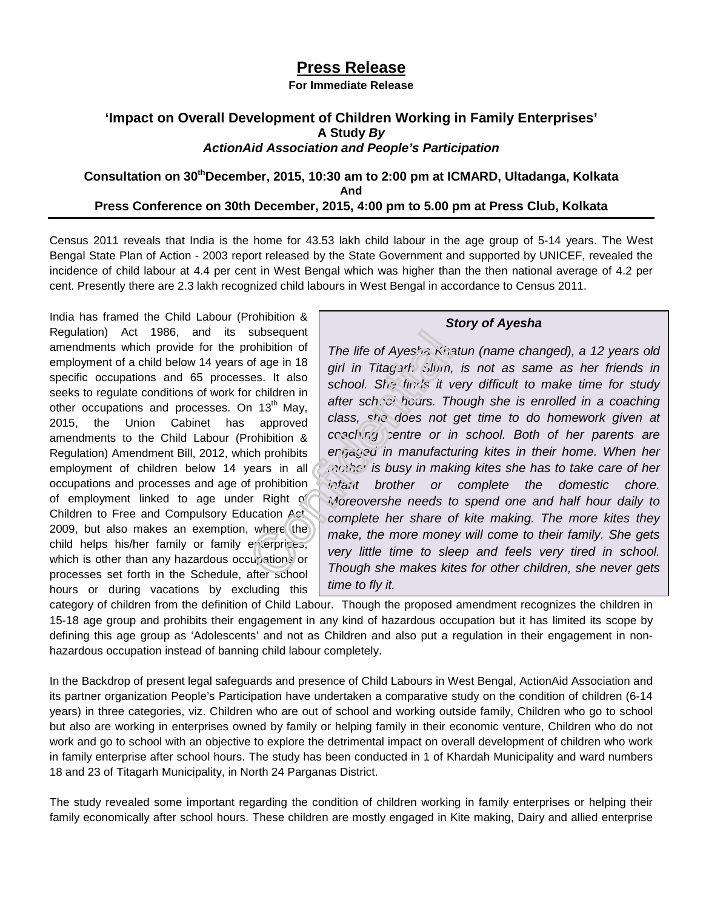## **Press Release**

**For Immediate Release** 

## **'Impact on Overall Development of Children Working in Family Enterprises' A Study By ActionAid Association and People's Participation**

## **Consultation on 30thDecember, 2015, 10:30 am to 2:00 pm at ICMARD, Ultadanga, Kolkata And Press Conference on 30th December, 2015, 4:00 pm to 5.00 pm at Press Club, Kolkata**

Census 2011 reveals that India is the home for 43.53 lakh child labour in the age group of 5-14 years. The West Bengal State Plan of Action - 2003 report released by the State Government and supported by UNICEF, revealed the incidence of child labour at 4.4 per cent in West Bengal which was higher than the then national average of 4.2 per cent. Presently there are 2.3 lakh recognized child labours in West Bengal in accordance to Census 2011.

India has framed the Child Labour (Prohibition & Regulation) Act 1986, and its subsequent amendments which provide for the prohibition of employment of a child below 14 years of age in 18 specific occupations and 65 processes. It also seeks to regulate conditions of work for children in other occupations and processes. On  $13<sup>th</sup>$  May, 2015, the Union Cabinet has approved amendments to the Child Labour (Prohibition & Regulation) Amendment Bill, 2012, which prohibits employment of children below 14 years in all occupations and processes and age of prohibition of employment linked to age under Right of Children to Free and Compulsory Education Act, 2009, but also makes an exemption, where the child helps his/her family or family enterprises, which is other than any hazardous occupations or processes set forth in the Schedule, after school hours or during vacations by excluding this

## **Story of Ayesha**

The life of Ayes/ $\approx$  Khatun (name changed), a 12 years old girl in Titagarh Slum, is not as same as her friends in school. She finds it very difficult to make time for study after school hours. Though she is enrolled in a coaching class, she does not get time to do homework given at coaching centre or in school. Both of her parents are engased in manufacturing kites in their home. When her mother is busy in making kites she has to take care of her infant brother or complete the domestic chore. Moreovershe needs to spend one and half hour daily to complete her share of kite making. The more kites they make, the more money will come to their family. She gets very little time to sleep and feels very tired in school. Though she makes kites for other children, she never gets time to fly it.

category of children from the definition of Child Labour. Though the proposed amendment recognizes the children in 15-18 age group and prohibits their engagement in any kind of hazardous occupation but it has limited its scope by defining this age group as 'Adolescents' and not as Children and also put a regulation in their engagement in nonhazardous occupation instead of banning child labour completely.

In the Backdrop of present legal safeguards and presence of Child Labours in West Bengal, ActionAid Association and its partner organization People's Participation have undertaken a comparative study on the condition of children (6-14 years) in three categories, viz. Children who are out of school and working outside family, Children who go to school but also are working in enterprises owned by family or helping family in their economic venture, Children who do not work and go to school with an objective to explore the detrimental impact on overall development of children who work in family enterprise after school hours. The study has been conducted in 1 of Khardah Municipality and ward numbers 18 and 23 of Titagarh Municipality, in North 24 Parganas District.

The study revealed some important regarding the condition of children working in family enterprises or helping their family economically after school hours. These children are mostly engaged in Kite making, Dairy and allied enterprise